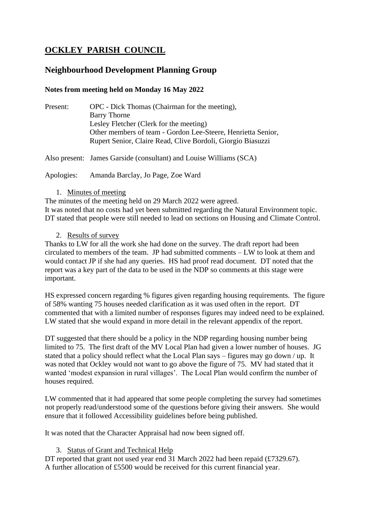# **OCKLEY PARISH COUNCIL**

## **Neighbourhood Development Planning Group**

### **Notes from meeting held on Monday 16 May 2022**

Present: OPC - Dick Thomas (Chairman for the meeting), Barry Thorne Lesley Fletcher (Clerk for the meeting) Other members of team - Gordon Lee-Steere, Henrietta Senior, Rupert Senior, Claire Read, Clive Bordoli, Giorgio Biasuzzi

Also present: James Garside (consultant) and Louise Williams (SCA)

Apologies: Amanda Barclay, Jo Page, Zoe Ward

1. Minutes of meeting

The minutes of the meeting held on 29 March 2022 were agreed. It was noted that no costs had yet been submitted regarding the Natural Environment topic. DT stated that people were still needed to lead on sections on Housing and Climate Control.

2. Results of survey

Thanks to LW for all the work she had done on the survey. The draft report had been circulated to members of the team. JP had submitted comments – LW to look at them and would contact JP if she had any queries. HS had proof read document. DT noted that the report was a key part of the data to be used in the NDP so comments at this stage were important.

HS expressed concern regarding % figures given regarding housing requirements. The figure of 58% wanting 75 houses needed clarification as it was used often in the report. DT commented that with a limited number of responses figures may indeed need to be explained. LW stated that she would expand in more detail in the relevant appendix of the report.

DT suggested that there should be a policy in the NDP regarding housing number being limited to 75. The first draft of the MV Local Plan had given a lower number of houses. JG stated that a policy should reflect what the Local Plan says – figures may go down / up. It was noted that Ockley would not want to go above the figure of 75. MV had stated that it wanted 'modest expansion in rural villages'. The Local Plan would confirm the number of houses required.

LW commented that it had appeared that some people completing the survey had sometimes not properly read/understood some of the questions before giving their answers. She would ensure that it followed Accessibility guidelines before being published.

It was noted that the Character Appraisal had now been signed off.

#### 3. Status of Grant and Technical Help

DT reported that grant not used year end 31 March 2022 had been repaid (£7329.67). A further allocation of £5500 would be received for this current financial year.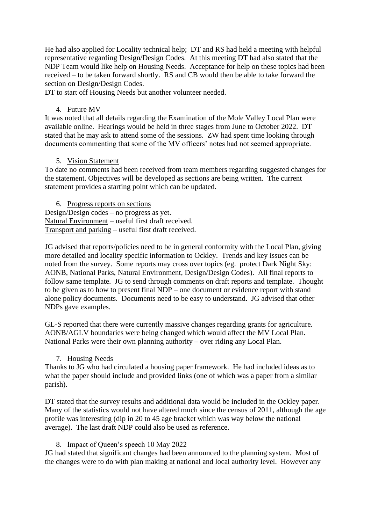He had also applied for Locality technical help; DT and RS had held a meeting with helpful representative regarding Design/Design Codes. At this meeting DT had also stated that the NDP Team would like help on Housing Needs. Acceptance for help on these topics had been received – to be taken forward shortly. RS and CB would then be able to take forward the section on Design/Design Codes.

DT to start off Housing Needs but another volunteer needed.

#### 4. Future MV

It was noted that all details regarding the Examination of the Mole Valley Local Plan were available online. Hearings would be held in three stages from June to October 2022. DT stated that he may ask to attend some of the sessions. ZW had spent time looking through documents commenting that some of the MV officers' notes had not seemed appropriate.

#### 5. Vision Statement

To date no comments had been received from team members regarding suggested changes for the statement. Objectives will be developed as sections are being written. The current statement provides a starting point which can be updated.

6. Progress reports on sections Design/Design codes – no progress as yet. Natural Environment – useful first draft received. Transport and parking – useful first draft received.

JG advised that reports/policies need to be in general conformity with the Local Plan, giving more detailed and locality specific information to Ockley. Trends and key issues can be noted from the survey. Some reports may cross over topics (eg. protect Dark Night Sky: AONB, National Parks, Natural Environment, Design/Design Codes). All final reports to follow same template. JG to send through comments on draft reports and template. Thought to be given as to how to present final NDP – one document or evidence report with stand alone policy documents. Documents need to be easy to understand. JG advised that other NDPs gave examples.

GL-S reported that there were currently massive changes regarding grants for agriculture. AONB/AGLV boundaries were being changed which would affect the MV Local Plan. National Parks were their own planning authority – over riding any Local Plan.

7. Housing Needs

Thanks to JG who had circulated a housing paper framework. He had included ideas as to what the paper should include and provided links (one of which was a paper from a similar parish).

DT stated that the survey results and additional data would be included in the Ockley paper. Many of the statistics would not have altered much since the census of 2011, although the age profile was interesting (dip in 20 to 45 age bracket which was way below the national average). The last draft NDP could also be used as reference.

#### 8. Impact of Queen's speech 10 May 2022

JG had stated that significant changes had been announced to the planning system. Most of the changes were to do with plan making at national and local authority level. However any